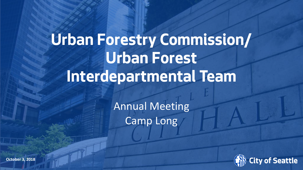## **Urban Forestry Commission/ Urban Forest Interdepartmental Team**

Annual Meeting Camp Long



**October 3, 2018**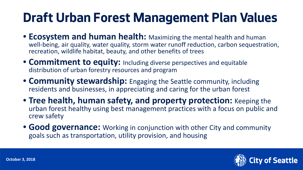## **Draft Urban Forest Management Plan Values**

- **Ecosystem and human health:** Maximizing the mental health and human well-being, air quality, water quality, storm water runoff reduction, carbon sequestration, recreation, wildlife habitat, beauty, and other benefits of trees
- **Commitment to equity:** Including diverse perspectives and equitable distribution of urban forestry resources and program
- **Community stewardship:** Engaging the Seattle community, including residents and businesses, in appreciating and caring for the urban forest
- **Tree health, human safety, and property protection:** Keeping the urban forest healthy using best management practices with a focus on public and crew safety
- **Good governance:** Working in conjunction with other City and community goals such as transportation, utility provision, and housing